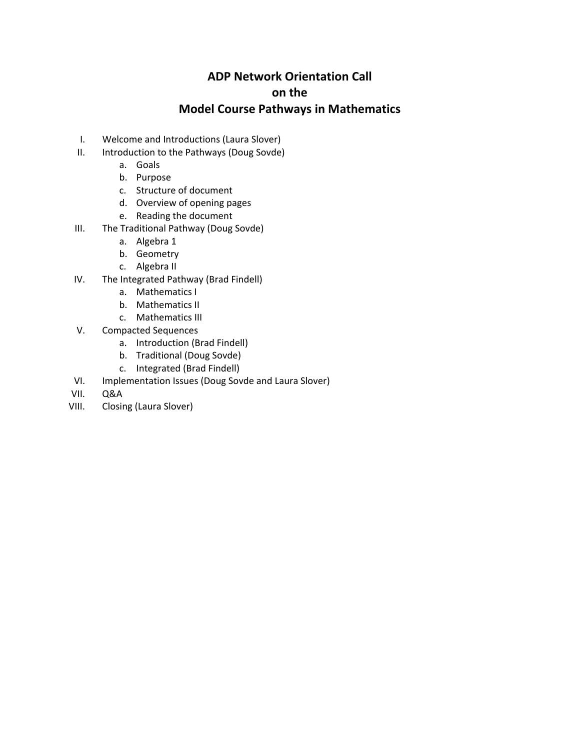## **ADP Network Orientation Call on the Model Course Pathways in Mathematics**

- I. Welcome and Introductions (Laura Slover)
- II. Introduction to the Pathways (Doug Sovde)
	- a. Goals
	- b. Purpose
	- c. Structure of document
	- d. Overview of opening pages
	- e. Reading the document
- III. The Traditional Pathway (Doug Sovde)
	- a. Algebra 1
	- b. Geometry
	- c. Algebra II
- IV. The Integrated Pathway (Brad Findell)
	- a. Mathematics I
	- b. Mathematics II
	- c. Mathematics III
- V. Compacted Sequences
	- a. Introduction (Brad Findell)
	- b. Traditional (Doug Sovde)
	- c. Integrated (Brad Findell)
- VI. Implementation Issues (Doug Sovde and Laura Slover)
- VII. Q&A
- VIII. Closing (Laura Slover)